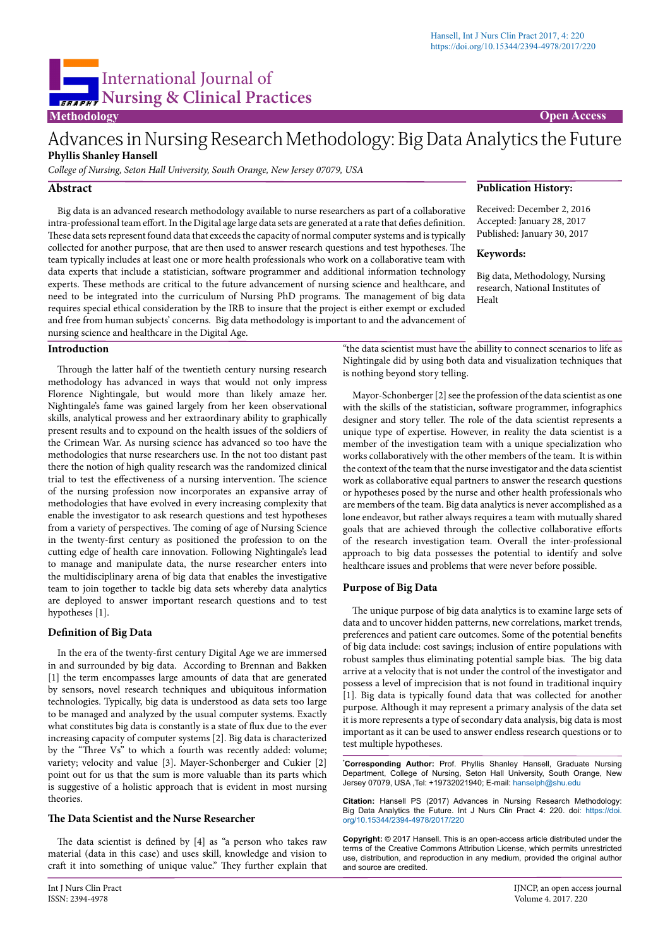

# Advances in Nursing Research Methodology: Big Data Analytics the Future **Phyllis Shanley Hansell**

*College of Nursing, Seton Hall University, South Orange, New Jersey 07079, USA*

### **Abstract**

Big data is an advanced research methodology available to nurse researchers as part of a collaborative intra-professional team effort. In the Digital age large data sets are generated at a rate that defies definition. These data sets represent found data that exceeds the capacity of normal computer systems and is typically collected for another purpose, that are then used to answer research questions and test hypotheses. The team typically includes at least one or more health professionals who work on a collaborative team with data experts that include a statistician, software programmer and additional information technology experts. These methods are critical to the future advancement of nursing science and healthcare, and need to be integrated into the curriculum of Nursing PhD programs. The management of big data requires special ethical consideration by the IRB to insure that the project is either exempt or excluded and free from human subjects' concerns. Big data methodology is important to and the advancement of nursing science and healthcare in the Digital Age.

#### **Introduction**

Through the latter half of the twentieth century nursing research methodology has advanced in ways that would not only impress Florence Nightingale, but would more than likely amaze her. Nightingale's fame was gained largely from her keen observational skills, analytical prowess and her extraordinary ability to graphically present results and to expound on the health issues of the soldiers of the Crimean War. As nursing science has advanced so too have the methodologies that nurse researchers use. In the not too distant past there the notion of high quality research was the randomized clinical trial to test the effectiveness of a nursing intervention. The science of the nursing profession now incorporates an expansive array of methodologies that have evolved in every increasing complexity that enable the investigator to ask research questions and test hypotheses from a variety of perspectives. The coming of age of Nursing Science in the twenty-first century as positioned the profession to on the cutting edge of health care innovation. Following Nightingale's lead to manage and manipulate data, the nurse researcher enters into the multidisciplinary arena of big data that enables the investigative team to join together to tackle big data sets whereby data analytics are deployed to answer important research questions and to test hypotheses [1].

## **Definition of Big Data**

In the era of the twenty-first century Digital Age we are immersed in and surrounded by big data. According to Brennan and Bakken [1] the term encompasses large amounts of data that are generated by sensors, novel research techniques and ubiquitous information technologies. Typically, big data is understood as data sets too large to be managed and analyzed by the usual computer systems. Exactly what constitutes big data is constantly is a state of flux due to the ever increasing capacity of computer systems [2]. Big data is characterized by the "Three Vs" to which a fourth was recently added: volume; variety; velocity and value [3]. Mayer-Schonberger and Cukier [2] point out for us that the sum is more valuable than its parts which is suggestive of a holistic approach that is evident in most nursing theories.

### **The Data Scientist and the Nurse Researcher**

The data scientist is defined by [4] as "a person who takes raw material (data in this case) and uses skill, knowledge and vision to craft it into something of unique value." They further explain that

#### **Publication History:**

Received: December 2, 2016 Accepted: January 28, 2017 Published: January 30, 2017

#### **Keywords:**

Big data, Methodology, Nursing research, National Institutes of Healt

"the data scientist must have the abillity to connect scenarios to life as Nightingale did by using both data and visualization techniques that is nothing beyond story telling.

Mayor-Schonberger [2] see the profession of the data scientist as one with the skills of the statistician, software programmer, infographics designer and story teller. The role of the data scientist represents a unique type of expertise. However, in reality the data scientist is a member of the investigation team with a unique specialization who works collaboratively with the other members of the team. It is within the context of the team that the nurse investigator and the data scientist work as collaborative equal partners to answer the research questions or hypotheses posed by the nurse and other health professionals who are members of the team. Big data analytics is never accomplished as a lone endeavor, but rather always requires a team with mutually shared goals that are achieved through the collective collaborative efforts of the research investigation team. Overall the inter-professional approach to big data possesses the potential to identify and solve healthcare issues and problems that were never before possible.

#### **Purpose of Big Data**

The unique purpose of big data analytics is to examine large sets of data and to uncover hidden patterns, new correlations, market trends, preferences and patient care outcomes. Some of the potential benefits of big data include: cost savings; inclusion of entire populations with robust samples thus eliminating potential sample bias. The big data arrive at a velocity that is not under the control of the investigator and possess a level of imprecision that is not found in traditional inquiry [1]. Big data is typically found data that was collected for another purpose. Although it may represent a primary analysis of the data set it is more represents a type of secondary data analysis, big data is most important as it can be used to answer endless research questions or to test multiple hypotheses.

**\* Corresponding Author:** Prof. Phyllis Shanley Hansell, Graduate Nursing Department, College of Nursing, Seton Hall University, South Orange, New Jersey 07079, USA ,Tel: +19732021940; E-mail: hanselph@shu.edu

**Citation:** Hansell PS (2017) Advances in Nursing Research Methodology: Big Data Analytics the Future. Int J Nurs Clin Pract 4: 220. [doi:](doi:%20http://dx.doi.org/10.15344/2394-4978/2015/121) [https://doi.](https://doi.org/10.15344/2394-4978/2017/220) [org/10.15344/2394-4978/2017/220](https://doi.org/10.15344/2394-4978/2017/220)

**Copyright:** © 2017 Hansell. This is an open-access article distributed under the terms of the Creative Commons Attribution License, which permits unrestricted use, distribution, and reproduction in any medium, provided the original author and source are credited.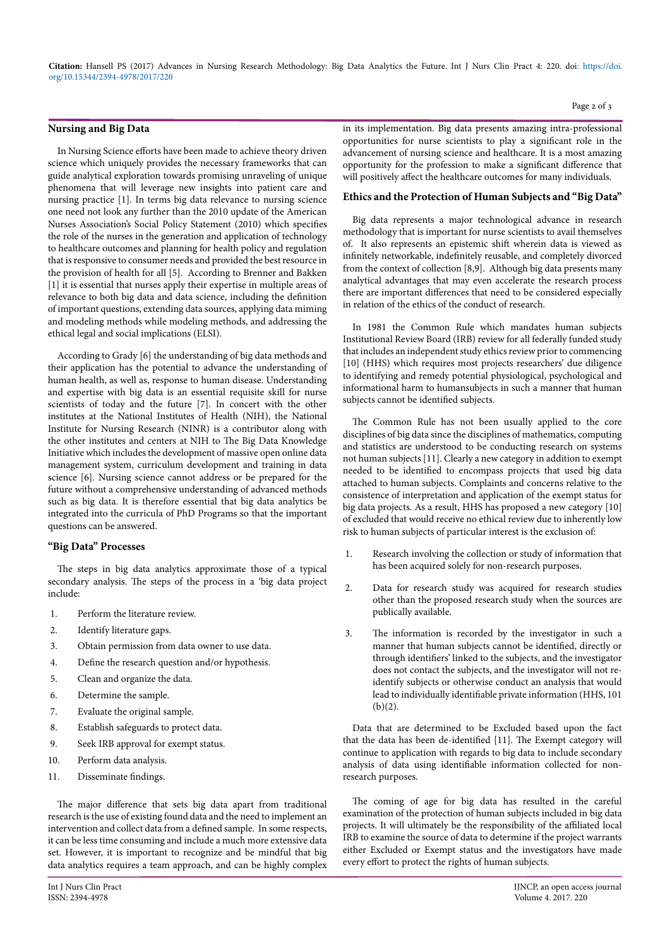**Citation:** Hansell PS (2017) Advances in Nursing Research Methodology: Big Data Analytics the Future. Int J Nurs Clin Pract 4: 220. doi: [https://doi.](https://doi.org/10.15344/2394-4978/2017/220) [org/10.15344/2394-4978/2017/220](https://doi.org/10.15344/2394-4978/2017/220)

#### **Nursing and Big Data**

In Nursing Science efforts have been made to achieve theory driven science which uniquely provides the necessary frameworks that can guide analytical exploration towards promising unraveling of unique phenomena that will leverage new insights into patient care and nursing practice [1]. In terms big data relevance to nursing science one need not look any further than the 2010 update of the American Nurses Association's Social Policy Statement (2010) which specifies the role of the nurses in the generation and application of technology to healthcare outcomes and planning for health policy and regulation that is responsive to consumer needs and provided the best resource in the provision of health for all [5]. According to Brenner and Bakken [1] it is essential that nurses apply their expertise in multiple areas of relevance to both big data and data science, including the definition of important questions, extending data sources, applying data miming and modeling methods while modeling methods, and addressing the ethical legal and social implications (ELSI).

According to Grady [6] the understanding of big data methods and their application has the potential to advance the understanding of human health, as well as, response to human disease. Understanding and expertise with big data is an essential requisite skill for nurse scientists of today and the future [7]. In concert with the other institutes at the National Institutes of Health (NIH), the National Institute for Nursing Research (NINR) is a contributor along with the other institutes and centers at NIH to The Big Data Knowledge Initiative which includes the development of massive open online data management system, curriculum development and training in data science [6]. Nursing science cannot address or be prepared for the future without a comprehensive understanding of advanced methods such as big data. It is therefore essential that big data analytics be integrated into the curricula of PhD Programs so that the important questions can be answered.

## **"Big Data" Processes**

The steps in big data analytics approximate those of a typical secondary analysis. The steps of the process in a 'big data project include:

- 1. Perform the literature review.
- 2. Identify literature gaps.
- 3. Obtain permission from data owner to use data.
- 4. Define the research question and/or hypothesis.
- 5. Clean and organize the data.
- 6. Determine the sample.
- 7. Evaluate the original sample.
- 8. Establish safeguards to protect data.
- 9. Seek IRB approval for exempt status.
- 10. Perform data analysis.
- 11. Disseminate findings.

The major difference that sets big data apart from traditional research is the use of existing found data and the need to implement an intervention and collect data from a defined sample. In some respects, it can be less time consuming and include a much more extensive data set. However, it is important to recognize and be mindful that big data analytics requires a team approach, and can be highly complex in its implementation. Big data presents amazing intra-professional opportunities for nurse scientists to play a significant role in the advancement of nursing science and healthcare. It is a most amazing opportunity for the profession to make a significant difference that will positively affect the healthcare outcomes for many individuals.

Page 2 of 3

# **Ethics and the Protection of Human Subjects and "Big Data"**

Big data represents a major technological advance in research methodology that is important for nurse scientists to avail themselves of. It also represents an epistemic shift wherein data is viewed as infinitely networkable, indefinitely reusable, and completely divorced from the context of collection [8,9]. Although big data presents many analytical advantages that may even accelerate the research process there are important differences that need to be considered especially in relation of the ethics of the conduct of research.

In 1981 the Common Rule which mandates human subjects Institutional Review Board (IRB) review for all federally funded study that includes an independent study ethics review prior to commencing [10] (HHS) which requires most projects researchers' due diligence to identifying and remedy potential physiological, psychological and informational harm to humansubjects in such a manner that human subjects cannot be identified subjects.

The Common Rule has not been usually applied to the core disciplines of big data since the disciplines of mathematics, computing and statistics are understood to be conducting research on systems not human subjects [11]. Clearly a new category in addition to exempt needed to be identified to encompass projects that used big data attached to human subjects. Complaints and concerns relative to the consistence of interpretation and application of the exempt status for big data projects. As a result, HHS has proposed a new category [10] of excluded that would receive no ethical review due to inherently low risk to human subjects of particular interest is the exclusion of:

- 1. Research involving the collection or study of information that has been acquired solely for non-research purposes.
- 2. Data for research study was acquired for research studies other than the proposed research study when the sources are publically available.
- 3. The information is recorded by the investigator in such a manner that human subjects cannot be identified, directly or through identifiers' linked to the subjects, and the investigator does not contact the subjects, and the investigator will not reidentify subjects or otherwise conduct an analysis that would lead to individually identifiable private information (HHS, 101  $(b)(2)$ .

Data that are determined to be Excluded based upon the fact that the data has been de-identified [11]. The Exempt category will continue to application with regards to big data to include secondary analysis of data using identifiable information collected for nonresearch purposes.

The coming of age for big data has resulted in the careful examination of the protection of human subjects included in big data projects. It will ultimately be the responsibility of the affiliated local IRB to examine the source of data to determine if the project warrants either Excluded or Exempt status and the investigators have made every effort to protect the rights of human subjects.